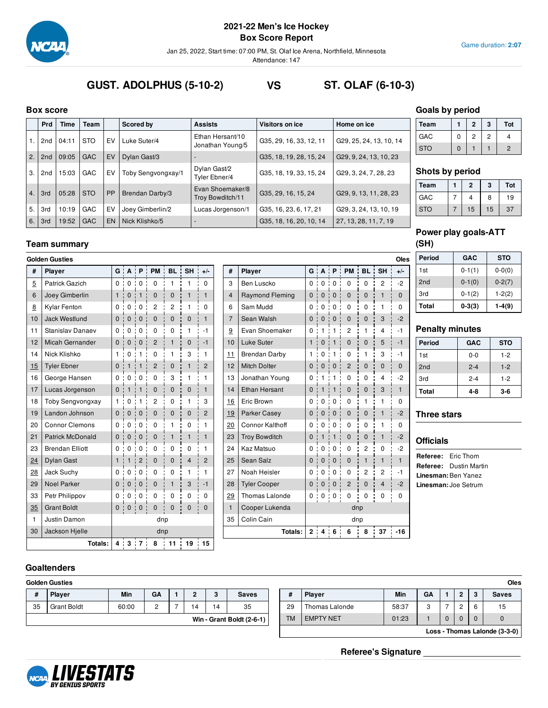

**Box Score Report**

Jan 25, 2022, Start time: 07:00 PM, St. Olaf Ice Arena, Northfield, Minnesota

Attendance: 147

#### Game duration: **2:07**

# **GUST. ADOLPHUS (5-10-2) VS ST. OLAF (6-10-3)**

#### **Box score**

|    | <b>Prd</b> | Time  | Team       |           | Scored by          | <b>Assists</b>                       | Visitors on ice         | Home on ice             |
|----|------------|-------|------------|-----------|--------------------|--------------------------------------|-------------------------|-------------------------|
| 1. | 2nd        | 04:11 | <b>STO</b> | EV        | Luke Suter/4       | Ethan Hersant/10<br>Jonathan Young/5 | G35, 29, 16, 33, 12, 11 | G29, 25, 24, 13, 10, 14 |
| 2. | 2nd        | 09:05 | <b>GAC</b> | EV        | Dylan Gast/3       |                                      | G35, 18, 19, 28, 15, 24 | G29, 9, 24, 13, 10, 23  |
| 3. | 2nd        | 15:03 | <b>GAC</b> | EV        | Toby Sengvongxay/1 | Dylan Gast/2<br>Tyler Ebner/4        | G35, 18, 19, 33, 15, 24 | G29, 3, 24, 7, 28, 23   |
| 4. | 3rd        | 05:28 | <b>STO</b> | <b>PP</b> | Brendan Darby/3    | Evan Shoemaker/8<br>Troy Bowditch/11 | G35, 29, 16, 15, 24     | G29, 9, 13, 11, 28, 23  |
| 5. | 3rd        | 10:19 | GAC        | EV        | Joey Gimberlin/2   | Lucas Jorgenson/1                    | G35, 16, 23, 6, 17, 21  | G29, 3, 24, 13, 10, 19  |
| 6. | 3rd        | 19:52 | <b>GAC</b> | EN        | Nick Klishko/5     |                                      | G35, 18, 16, 20, 10, 14 | 27, 13, 28, 11, 7, 19   |

### **Team summary**

| #              | Player                  | G              | A            | P              | <b>PM</b>      | <b>BL</b>      | <b>SH</b>      | $+/-$          |
|----------------|-------------------------|----------------|--------------|----------------|----------------|----------------|----------------|----------------|
| $\overline{5}$ | Patrick Gazich          | 0              | 0            | 0              | 0              | 1              | $\mathbf{1}$   | 0              |
| 6              | Joey Gimberlin          | $\mathbf{1}$   | $\mathbf 0$  | $\mathbf{1}$   | $\mathbf 0$    | $\mathbf 0$    | $\mathbf{1}$   | $\mathbf{1}$   |
| 8              | Kylar Fenton            | 0              | 0            | 0              | $\overline{c}$ | 2              | 1              | 0              |
| 10             | <b>Jack Westlund</b>    | $\overline{0}$ | $\mathbf 0$  | $\mathbf 0$    | $\mathbf 0$    | $\overline{0}$ | $\mathbf 0$    | $\mathbf{1}$   |
| 11             | Stanislav Danaev        | $\Omega$       | 0            | 0              | 0              | 0              | $\mathbf{1}$   | $-1$           |
| 12             | Micah Gernander         | $\overline{0}$ | $\mathbf 0$  | $\mathbf 0$    | $\overline{c}$ | $\mathbf{1}$   | $\overline{0}$ | $-1$           |
| 14             | Nick Klishko            | 1              | 0            | 1              | $\Omega$       | 1              | 3              | $\mathbf{1}$   |
| 15             | <b>Tyler Ebner</b>      | $\mathbf 0$    | $\mathbf{1}$ | 1              | $\overline{2}$ | $\mathbf 0$    | $\mathbf{1}$   | $\overline{2}$ |
| 16             | George Hansen           | 0              | 0            | 0              | 0              | 3              | 1              | 1              |
| 17             | Lucas Jorgenson         | $\mathbf 0$    | $\mathbf{1}$ | $\mathbf{1}$   | $\mathbf 0$    | 0              | $\mathbf{0}$   | $\mathbf{1}$   |
| 18             | <b>Toby Sengvongxay</b> | 1              | 0            | 1              | 2              | 0              | 1              | 3              |
| 19             | Landon Johnson          | $\mathbf{0}$   | $\mathbf{0}$ | $\mathbf 0$    | 0              | $\mathbf{0}$   | $\mathbf 0$    | $\overline{2}$ |
| 20             | <b>Connor Clemons</b>   | 0              | 0            | 0              | 0              | 1              | 0              | 1              |
| 21             | <b>Patrick McDonald</b> | 0              | $\mathbf 0$  | $\mathbf 0$    | 0              | $\mathbf{1}$   | $\mathbf{1}$   | $\mathbf{1}$   |
| 23             | <b>Brendan Elliott</b>  | 0              | 0            | 0              | 0              | 0              | 0              | 1              |
| 24             | <b>Dylan Gast</b>       | $\mathbf{1}$   | $\mathbf{1}$ | $\overline{c}$ | $\mathbf 0$    | $\mathbf{0}$   | $\overline{4}$ | $\overline{c}$ |
| 28             | Jack Suchy              | $\mathbf 0$    | 0            | 0              | 0              | 0              | $\mathbf{1}$   | 1              |
| 29             | <b>Noel Parker</b>      | $\overline{0}$ | $\mathbf{0}$ | $\mathbf 0$    | $\mathbf 0$    | $\mathbf{1}$   | 3              | $-1$           |
| 33             | Petr Philippov          | 0              | 0            | 0              | 0              | 0              | 0              | 0              |
| 35             | <b>Grant Boldt</b>      | 0              | 0            | 0              | 0              | 0              | 0              | 0              |
| $\mathbf{1}$   | Justin Damon            |                |              |                | dnp            |                |                |                |
| 30             | Jackson Hjelle          |                |              |                | dnp            |                |                |                |
|                | Totals:                 | 4              | ÷<br>3       | $\cdot$ 7      | 8              | ÷<br>11        | 19             | 15             |

|              | <b>Golden Gusties</b>   |                |                   |                |                                    |                |              |                |                |                        |                          |                   |                                       |                     |                |                                         | Oles         |
|--------------|-------------------------|----------------|-------------------|----------------|------------------------------------|----------------|--------------|----------------|----------------|------------------------|--------------------------|-------------------|---------------------------------------|---------------------|----------------|-----------------------------------------|--------------|
| #            | <b>Player</b>           |                |                   |                | $G$ $A$ $P$ $PM$ $B$ $H$ $H$ $+/-$ |                |              |                | #              | Player                 |                          |                   |                                       |                     |                | $G$ $A$ $P$ $P$ $M$ $B$ $B$ $S$ $H$ $S$ | $+/-$        |
| 5            | Patrick Gazich          | 0              | 0:                | 0              | $\mathbf 0$                        | $\mathbf{1}$   |              | $\Omega$       | 3              | Ben Luscko             | 0:                       | $\overline{0}$    | 0:                                    | $\mathbf 0$         | $\pmb{0}$      | $\overline{c}$                          | $-2$         |
| 6            | Joey Gimberlin          | $\mathbf{1}$   | $\mathbf{0}$      | $\mathbf{1}$   | $\mathbf{0}$                       | $\mathbf{0}$   |              | $\mathbf{1}$   | 4              | <b>Raymond Fleming</b> | $\mathbf{0}$             | $\mathbf{0}$<br>÷ | $\mathbf{0}$                          | $\mathbf{0}$<br>÷   | $\mathbf{0}$   | $\mathbf{1}$                            | $\Omega$     |
| 8            | <b>Kylar Fenton</b>     | $\Omega$       | $\mathbf 0$       | $\mathbf 0$    | $\overline{c}$<br>٠                | $\overline{2}$ | 1            | $\Omega$       | 6              | Sam Mudd               | 0:                       | $\Omega$          | $\mathbf 0$<br>٠                      | 0                   | 0              | 1                                       | $\Omega$     |
| 10           | Jack Westlund           | 0:             | $\mathbf 0$       | $\mathbf 0$    | 0                                  | $\mathbf{0}$   | $\mathbf{0}$ | $\mathbf{1}$   | $\overline{7}$ | Sean Walsh             | $\Omega$                 | $\Omega$<br>÷     | $\mathbf{0}$                          | $\Omega$            | 0              | 3                                       | $-2$         |
| 11           | <b>Stanislav Danaev</b> | 0:             | 0                 | $\mathbf 0$    | 0                                  | $\mathbf 0$    | 1            | $-1$           | 9              | Evan Shoemaker         | 0:                       | 1                 |                                       | 2                   | 1              | 4                                       | $-1$         |
| 12           | Micah Gernander         | 0:             | $\mathbf{0}$      | $\mathbf{0}$   | $\overline{2}$                     | $\mathbf{1}$   | $\mathbf{0}$ | $-1$           | 10             | Luke Suter             | 1:                       | $\mathbf 0$       | 1                                     | $\mathbf 0$         | $\mathbf{0}$   | 5                                       | $-1$         |
| 14           | Nick Klishko            | 1              | 0                 | 1<br>÷         | $\mathbf 0$                        | $\mathbf{1}$   | 3            | 1              | 11             | <b>Brendan Darby</b>   | 1<br><b>.</b>            | $\Omega$          | 1                                     | 0                   | 1              | 3                                       | $-1$         |
| 15           | <b>Tyler Ebner</b>      | $\Omega$       | 1                 | $\mathbf{1}$   | $\overline{2}$                     | $\mathbf{0}$   | $\mathbf{1}$ | $\overline{2}$ | 12             | <b>Mitch Dolter</b>    | $\mathbf{0}$<br><b>:</b> | $\mathbf 0$       | $\mathbf 0$                           | $\overline{2}$      | $\mathbf{0}$   | $\Omega$                                | $\Omega$     |
| 16           | George Hansen           | $\Omega$       | $\Omega$          | $\mathbf 0$    | 0                                  | 3              | 1            | $\mathbf{1}$   | 13             | Jonathan Young         | $\Omega$                 |                   | ٠                                     | 0                   | 0              | 4                                       | $-2$         |
| 17           | Lucas Jorgenson         | 0:             |                   |                | $\mathbf{0}$                       | $\mathbf 0$    | $\mathbf{0}$ | $\mathbf{1}$   | 14             | <b>Ethan Hersant</b>   | $\mathbf 0$              |                   |                                       | $\mathbf 0$         | $\mathbf 0$    | 3                                       | 1            |
| 18           | <b>Toby Sengvongxay</b> |                | $\mathbf 0$       | 1              | $\overline{c}$                     | $\mathbf 0$    | 1            | 3              | 16             | Eric Brown             | $\Omega$                 | $\Omega$          | $\mathbf 0$                           | 0                   | 1              | 1                                       | $\Omega$     |
| 19           | Landon Johnson          | $\mathbf{0}$   | $\mathbf{0}$<br>÷ | $\mathbf{0}$   | $\mathbf 0$                        | $\mathbf{0}$   | $\mathbf{0}$ | 2              | <u>19</u>      | Parker Casey           | $\mathbf{0}$             | $\mathbf{0}$<br>÷ | $\mathbf{0}$                          | $\mathbf{0}$<br>٠   | 0              | 1                                       | $-2$         |
| 20           | <b>Connor Clemons</b>   | 0 <sup>1</sup> | $\mathbf 0$       | $\mathbf 0$    | 0                                  | 1              | $\Omega$     | $\mathbf{1}$   | 20             | <b>Connor Kalthoff</b> | $\Omega$                 | $\Omega$          | $\Omega$                              | $\Omega$            | 0              | 1                                       | 0            |
| 21           | <b>Patrick McDonald</b> | $\mathbf{0}$   | $\mathbf 0$<br>÷  | $\mathbf 0$    | 0                                  | $\mathbf{1}$   | $\mathbf{1}$ | $\mathbf{1}$   | 23             | <b>Troy Bowditch</b>   | $\Omega$                 | $\mathbf{1}$      | $\mathbf{1}$                          | $\mathbf 0$         | 0              | $\mathbf{1}$                            | $-2$         |
| 23           | <b>Brendan Elliott</b>  | 0:             | 0                 | $\mathbf 0$    | 0                                  | 0              | 0            | 1              | 24             | Kaz Matsuo             | 0:                       | $\Omega$          | 0                                     | 0                   | $\overline{2}$ | $\Omega$                                | $-2$         |
| 24           | <b>Dylan Gast</b>       | 1.             | 1                 | $\overline{2}$ | $\mathbf{0}$                       | $\mathbf{0}$   | 4            | $\overline{2}$ | 25             | Sean Salz              | $\mathbf{0}$<br>÷.       | $\mathbf 0$       | $\mathbf{0}$                          | $\mathbf{0}$        | $\mathbf{1}$   | $\mathbf{1}$                            | $\mathbf{1}$ |
| 28           | Jack Suchy              | 0:             | 0                 | $\mathbf 0$    | 0<br>÷                             | 0              | 1            | 1              | 27             | Noah Heisler           | 0:                       | $\mathbf 0$       | $\mathbf 0$<br>п                      | 0                   | 2              | 2                                       | $-1$         |
| 29           | <b>Noel Parker</b>      | $\Omega$       | $\mathbf{0}$      | $\mathbf{0}$   | $\mathbf{0}$                       | $\mathbf{1}$   | 3            | $-1$           | 28             | <b>Tyler Cooper</b>    | $\Omega$                 | $\mathbf{0}$<br>÷ | $\mathbf 0$                           | $\overline{2}$<br>÷ | $\mathbf{0}$   | $\overline{\mathbf{4}}$                 | $-2$         |
| 33           | Petr Philippov          | 0              | $\mathbf 0$       | $\mathbf 0$    | 0                                  | 0              | 0            | $\mathbf 0$    | 29             | Thomas Lalonde         |                          | 0:0               | $\begin{array}{c} 0 \\ 0 \end{array}$ | $\mathbf 0$         | 0              | 0                                       | 0            |
| 35           | <b>Grant Boldt</b>      |                | 0:0:0             |                | $\mathbf 0$                        | $\mathbf{0}$   | $\mathbf{0}$ | $\Omega$       | $\mathbf{1}$   | Cooper Lukenda         |                          |                   |                                       | dnp                 |                |                                         |              |
| $\mathbf{1}$ | Justin Damon            |                |                   |                | dnp                                |                |              |                | 35             | Colin Cain             |                          |                   |                                       | dnp                 |                |                                         |              |
| 30           | Jackson Hielle          |                |                   |                | dnp                                |                |              |                |                | Totals:                | 2:                       | 4.1               | 6 :                                   | 6                   | 8              | 37                                      | $-16$        |

### **Goals by period**

| Team       |   | 2 | 3 | Tot |
|------------|---|---|---|-----|
| GAC        | 0 | 2 | 2 |     |
| <b>STO</b> | Ω |   |   | 2   |

#### **Shots by period**

| Team       | $\overline{2}$ | 3  | Tot |
|------------|----------------|----|-----|
| GAC        |                | 8  | 19  |
| <b>STO</b> | 15             | 15 | 37  |

### **Power play goals-ATT (SH)**

| Period          | <b>GAC</b> | <b>STO</b> |
|-----------------|------------|------------|
| 1st             | $0-1(1)$   | $0 - 0(0)$ |
| 2 <sub>nd</sub> | $0-1(0)$   | $0-2(7)$   |
| 3rd             | $0-1(2)$   | $1 - 2(2)$ |
| Total           | $0-3(3)$   | $1-4(9)$   |

## **Penalty minutes**

| <b>Period</b>   | <b>GAC</b> | <b>STO</b> |
|-----------------|------------|------------|
| 1st             | $0 - 0$    | $1 - 2$    |
| 2 <sub>nd</sub> | $2 - 4$    | $1 - 2$    |
| 3rd             | $2 - 4$    | $1 - 2$    |
| <b>Total</b>    | $4 - 8$    | $3-6$      |

### **Three stars**

# **Officials**

**Referee:** Eric Thom **Referee:** Dustin Martin **Linesman:** Ben Yanez **Linesman:**Joe Setrum

# **Goaltenders**

# **# Player Min GA 1 2 3 Saves**

| #  | <b>Flavel</b>      | <b>IVIIII</b> | uн |  | oaves                     |
|----|--------------------|---------------|----|--|---------------------------|
| 35 | <b>Grant Boldt</b> | 60:00         |    |  | 35                        |
|    |                    |               |    |  | Win - Grant Boldt (2-6-1) |
|    |                    |               |    |  |                           |

|    | Golden Gusties     |            |        |   |                |                           |           |                  |       |        |  |        | <b>Oles</b>                   |
|----|--------------------|------------|--------|---|----------------|---------------------------|-----------|------------------|-------|--------|--|--------|-------------------------------|
| #  | Player             | <b>Min</b> | GΑ     | c | $\bullet$<br>P | <b>Saves</b>              |           | <b>Player</b>    | Min   | GA     |  |        | <b>Saves</b>                  |
| 35 | <b>Grant Boldt</b> | 60:00      | ⌒<br>- | Δ | 14             | 35                        | 29        | Thomas Lalonde   | 58:37 | ົ<br>◡ |  | $\sim$ | 15                            |
|    |                    |            |        |   |                | Win - Grant Boldt (2-6-1) | <b>TM</b> | <b>EMPTY NET</b> | 01:23 |        |  |        |                               |
|    |                    |            |        |   |                |                           |           |                  |       |        |  |        | Loss - Thomas Lalonde (3-3-0) |

**Referee's Signature**

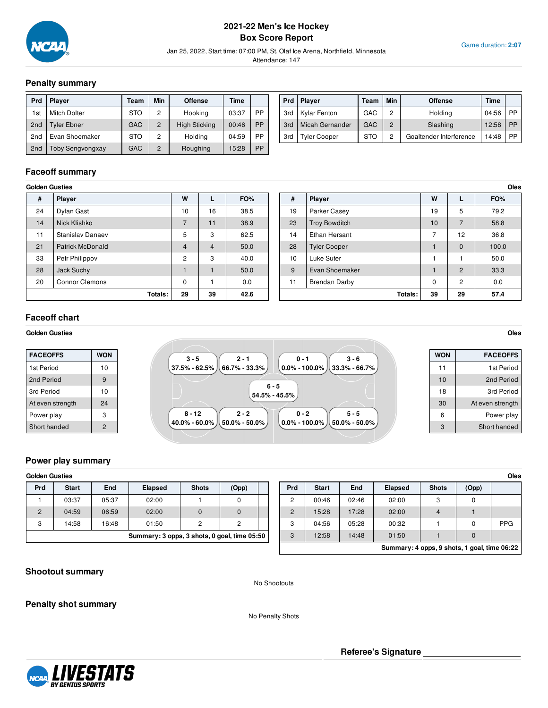

## **2021-22 Men's Ice Hockey Box Score Report**

Jan 25, 2022, Start time: 07:00 PM, St. Olaf Ice Arena, Northfield, Minnesota

Attendance: 147

## **Penalty summary**

| <b>Prd</b>      | <b>Player</b>       | Team       | Min            | <b>Offense</b>       | Time  |    |
|-----------------|---------------------|------------|----------------|----------------------|-------|----|
| 1st             | <b>Mitch Dolter</b> | <b>STO</b> | 2              | Hooking              | 03:37 | PP |
| 2 <sub>nd</sub> | Tyler Ebner         | GAC        | $\overline{2}$ | <b>High Sticking</b> | 00:46 | PP |
| 2nd             | Evan Shoemaker      | <b>STO</b> | 2              | Holding              | 04:59 | PP |
| 2 <sub>nd</sub> | Toby Sengvongxay    | GAC        | $\overline{2}$ | Roughing             | 15:28 | PP |

| Prd | <b>Player</b>          | Team | Min            | <b>Offense</b>          | Time  |    |
|-----|------------------------|------|----------------|-------------------------|-------|----|
| 3rd | Kylar Fenton           | GAC  | 2              | Holding                 | 04:56 | PP |
| 3rd | <b>Micah Gernander</b> | GAC  | $\overline{2}$ | Slashing                | 12:58 | PP |
| 3rd | <b>Tyler Cooper</b>    | STO  | 2              | Goaltender Interference | 14:48 | PP |

Game duration: **2:07**

## **Faceoff summary**

| GUIUCII GUSLICS |                         |                |                |      |
|-----------------|-------------------------|----------------|----------------|------|
| #               | <b>Player</b>           | W              |                | FO%  |
| 24              | Dylan Gast              | 10             | 16             | 38.5 |
| 14              | Nick Klishko            | $\overline{7}$ | 11             | 38.9 |
| 11              | Stanislav Danaev        | 5              | 3              | 62.5 |
| 21              | <b>Patrick McDonald</b> | $\overline{4}$ | $\overline{4}$ | 50.0 |
| 33              | Petr Philippov          | $\overline{2}$ | 3              | 40.0 |
| 28              | Jack Suchy              |                |                | 50.0 |
| 20              | <b>Connor Clemons</b>   | $\Omega$       |                | 0.0  |
|                 | Totals:                 | 29             | 39             | 42.6 |

| Golden Gusties |                         |                |    |      |    |                      |             |                |  |
|----------------|-------------------------|----------------|----|------|----|----------------------|-------------|----------------|--|
| #              | Player                  | W              |    | FO%  | #  | Player               | W           |                |  |
| 24             | Dylan Gast              | 10             | 16 | 38.5 | 19 | Parker Casey         | 19          | 5              |  |
| 14             | Nick Klishko            |                | 11 | 38.9 | 23 | <b>Troy Bowditch</b> | 10          | 7              |  |
| 11             | <b>Stanislav Danaev</b> | 5              | 3  | 62.5 | 14 | Ethan Hersant        | ⇁           | 12             |  |
| 21             | <b>Patrick McDonald</b> | 4              | 4  | 50.0 | 28 | <b>Tyler Cooper</b>  |             | $\mathbf{0}$   |  |
| 33             | Petr Philippov          | $\overline{c}$ | 3  | 40.0 | 10 | Luke Suter           |             |                |  |
| 28             | Jack Suchy              |                |    | 50.0 | 9  | Evan Shoemaker       |             | $\overline{2}$ |  |
| 20             | <b>Connor Clemons</b>   | 0              |    | 0.0  | 11 | <b>Brendan Darby</b> | $\mathbf 0$ | $\overline{c}$ |  |
|                | Totals:                 | 29             | 39 | 42.6 |    | Totals:              | 39          | 29             |  |

# **Faceoff chart**

#### **Golden Gusties Oles**

| <b>WON</b> | $2 - 1$<br>$3 - 5$<br>$3 - 6$<br>$0 - 1$  | <b>WON</b>                                                                               | <b>FACEOFFS</b>  |
|------------|-------------------------------------------|------------------------------------------------------------------------------------------|------------------|
| 10         | .37.5% - 62.5% 从 66.7% - 33.3% │          |                                                                                          | 1st Period       |
| 9          |                                           | 10                                                                                       | 2nd Period       |
| 10         |                                           | 18                                                                                       | 3rd Period       |
| 24         |                                           | 30                                                                                       | At even strength |
|            | $8 - 12$<br>$2 - 2$<br>$5 - 5$<br>$0 - 2$ | 6                                                                                        | Power play       |
|            |                                           | 3                                                                                        | Short handed     |
|            |                                           | $6 - 5$<br>$54.5\%$ - $45.5\%$ .<br>.40.0% - 60.0% 从 50.0% - 50.0% ,<br>$0.0\%$ - 100.0% |                  |

#### **Power play summary**

| <b>Golden Gusties</b>                        |              |       |                |              |              |        |              |       |                |              |       | Oles       |
|----------------------------------------------|--------------|-------|----------------|--------------|--------------|--------|--------------|-------|----------------|--------------|-------|------------|
| Prd                                          | <b>Start</b> | End   | <b>Elapsed</b> | <b>Shots</b> | (Opp)        | Prd    | <b>Start</b> | End   | <b>Elapsed</b> | <b>Shots</b> | (Opp) |            |
|                                              | 03:37        | 05:37 | 02:00          |              |              | C<br>- | 00:46        | 02:46 | 02:00          | c<br>ت       | 0     |            |
| 2                                            | 04:59        | 06:59 | 02:00          | $\Omega$     |              | C<br>ے | 15:28        | 17:28 | 02:00          | 4            |       |            |
| 3                                            | 14:58        | 16:48 | 01:50          | 2            | C            | ◠<br>ບ | 04:56        | 05:28 | 00:32          |              |       | <b>PPG</b> |
| Summary: 3 opps, 3 shots, 0 goal, time 05:50 |              |       |                |              | $\circ$<br>ت | 12:58  | 14:48        | 01:50 |                | $\Omega$     |       |            |

|                                              |              |            |                |              |       | Oles       |  |  |  |
|----------------------------------------------|--------------|------------|----------------|--------------|-------|------------|--|--|--|
| <b>Prd</b>                                   | <b>Start</b> | <b>End</b> | <b>Elapsed</b> | <b>Shots</b> | (Opp) |            |  |  |  |
| $\overline{2}$                               | 00:46        | 02:46      | 02:00          | 3            | 0     |            |  |  |  |
| $\overline{2}$                               | 15:28        | 17:28      | 02:00          | 4            |       |            |  |  |  |
| 3                                            | 04:56        | 05:28      | 00:32          |              | 0     | <b>PPG</b> |  |  |  |
| 3                                            | 12:58        | 14:48      | 01:50          |              | 0     |            |  |  |  |
| Summary: 4 opps, 9 shots, 1 goal, time 06:22 |              |            |                |              |       |            |  |  |  |

### **Shootout summary**

No Shootouts

**Penalty shot summary**

No Penalty Shots



**Referee's Signature**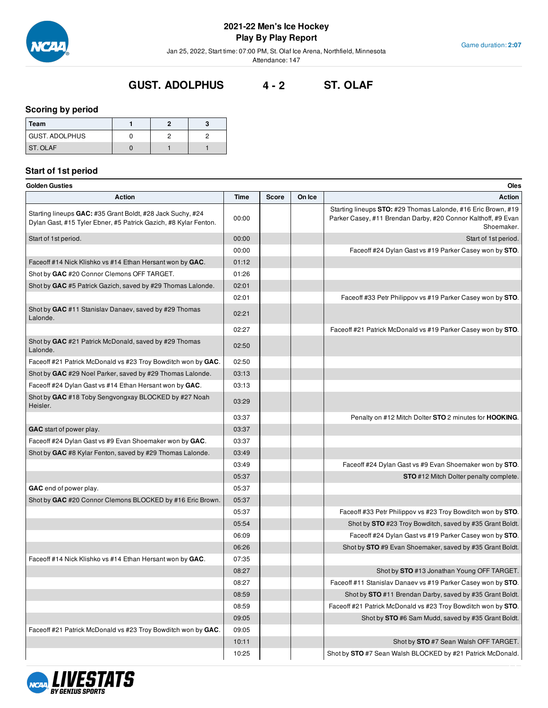

Jan 25, 2022, Start time: 07:00 PM, St. Olaf Ice Arena, Northfield, Minnesota

Attendance: 147

# **GUST. ADOLPHUS 4 - 2 ST. OLAF**

### **Scoring by period**

| Team            |  |  |
|-----------------|--|--|
| GUST. ADOLPHUS  |  |  |
| <b>ST. OLAF</b> |  |  |

# **Start of 1st period**

| Golden Gusties                                                                                                                 |       |       |        | Oles                                                                                                                                         |
|--------------------------------------------------------------------------------------------------------------------------------|-------|-------|--------|----------------------------------------------------------------------------------------------------------------------------------------------|
| <b>Action</b>                                                                                                                  | Time  | Score | On Ice | <b>Action</b>                                                                                                                                |
| Starting lineups GAC: #35 Grant Boldt, #28 Jack Suchy, #24<br>Dylan Gast, #15 Tyler Ebner, #5 Patrick Gazich, #8 Kylar Fenton. | 00:00 |       |        | Starting lineups STO: #29 Thomas Lalonde, #16 Eric Brown, #19<br>Parker Casey, #11 Brendan Darby, #20 Connor Kalthoff, #9 Evan<br>Shoemaker. |
| Start of 1st period.                                                                                                           | 00:00 |       |        | Start of 1st period.                                                                                                                         |
|                                                                                                                                | 00:00 |       |        | Faceoff #24 Dylan Gast vs #19 Parker Casey won by STO.                                                                                       |
| Faceoff #14 Nick Klishko vs #14 Ethan Hersant won by GAC.                                                                      | 01:12 |       |        |                                                                                                                                              |
| Shot by GAC #20 Connor Clemons OFF TARGET.                                                                                     | 01:26 |       |        |                                                                                                                                              |
| Shot by GAC #5 Patrick Gazich, saved by #29 Thomas Lalonde.                                                                    | 02:01 |       |        |                                                                                                                                              |
|                                                                                                                                | 02:01 |       |        | Faceoff #33 Petr Philippov vs #19 Parker Casey won by STO.                                                                                   |
| Shot by GAC #11 Stanislav Danaev, saved by #29 Thomas<br>Lalonde.                                                              | 02:21 |       |        |                                                                                                                                              |
|                                                                                                                                | 02:27 |       |        | Faceoff #21 Patrick McDonald vs #19 Parker Casey won by STO.                                                                                 |
| Shot by GAC #21 Patrick McDonald, saved by #29 Thomas<br>Lalonde.                                                              | 02:50 |       |        |                                                                                                                                              |
| Faceoff #21 Patrick McDonald vs #23 Troy Bowditch won by GAC.                                                                  | 02:50 |       |        |                                                                                                                                              |
| Shot by GAC #29 Noel Parker, saved by #29 Thomas Lalonde.                                                                      | 03:13 |       |        |                                                                                                                                              |
| Faceoff #24 Dylan Gast vs #14 Ethan Hersant won by GAC.                                                                        | 03:13 |       |        |                                                                                                                                              |
| Shot by GAC #18 Toby Sengvongxay BLOCKED by #27 Noah<br>Heisler.                                                               | 03:29 |       |        |                                                                                                                                              |
|                                                                                                                                | 03:37 |       |        | Penalty on #12 Mitch Dolter STO 2 minutes for HOOKING.                                                                                       |
| GAC start of power play.                                                                                                       | 03:37 |       |        |                                                                                                                                              |
| Faceoff #24 Dylan Gast vs #9 Evan Shoemaker won by GAC.                                                                        | 03:37 |       |        |                                                                                                                                              |
| Shot by GAC #8 Kylar Fenton, saved by #29 Thomas Lalonde.                                                                      | 03:49 |       |        |                                                                                                                                              |
|                                                                                                                                | 03:49 |       |        | Faceoff #24 Dylan Gast vs #9 Evan Shoemaker won by STO.                                                                                      |
|                                                                                                                                | 05:37 |       |        | <b>STO</b> #12 Mitch Dolter penalty complete.                                                                                                |
| GAC end of power play.                                                                                                         | 05:37 |       |        |                                                                                                                                              |
| Shot by GAC #20 Connor Clemons BLOCKED by #16 Eric Brown.                                                                      | 05:37 |       |        |                                                                                                                                              |
|                                                                                                                                | 05:37 |       |        | Faceoff #33 Petr Philippov vs #23 Troy Bowditch won by STO.                                                                                  |
|                                                                                                                                | 05:54 |       |        | Shot by STO #23 Troy Bowditch, saved by #35 Grant Boldt.                                                                                     |
|                                                                                                                                | 06:09 |       |        | Faceoff #24 Dylan Gast vs #19 Parker Casey won by STO.                                                                                       |
|                                                                                                                                | 06:26 |       |        | Shot by STO #9 Evan Shoemaker, saved by #35 Grant Boldt.                                                                                     |
| Faceoff #14 Nick Klishko vs #14 Ethan Hersant won by GAC.                                                                      | 07:35 |       |        |                                                                                                                                              |
|                                                                                                                                | 08:27 |       |        | Shot by STO #13 Jonathan Young OFF TARGET.                                                                                                   |
|                                                                                                                                | 08:27 |       |        | Faceoff #11 Stanislav Danaev vs #19 Parker Casey won by STO.                                                                                 |
|                                                                                                                                | 08:59 |       |        | Shot by STO #11 Brendan Darby, saved by #35 Grant Boldt.                                                                                     |
|                                                                                                                                | 08:59 |       |        | Faceoff #21 Patrick McDonald vs #23 Troy Bowditch won by STO.                                                                                |
|                                                                                                                                | 09:05 |       |        | Shot by STO #6 Sam Mudd, saved by #35 Grant Boldt.                                                                                           |
| Faceoff #21 Patrick McDonald vs #23 Troy Bowditch won by GAC.                                                                  | 09:05 |       |        |                                                                                                                                              |
|                                                                                                                                | 10:11 |       |        | Shot by STO #7 Sean Walsh OFF TARGET.                                                                                                        |
|                                                                                                                                | 10:25 |       |        | Shot by STO #7 Sean Walsh BLOCKED by #21 Patrick McDonald.                                                                                   |

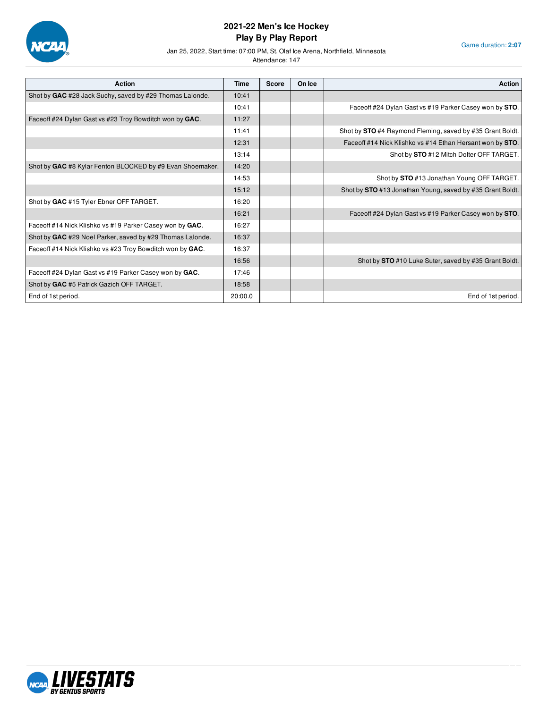

Game duration: **2:07**

Jan 25, 2022, Start time: 07:00 PM, St. Olaf Ice Arena, Northfield, Minnesota

| <b>Action</b>                                             | Time    | <b>Score</b> | On Ice | <b>Action</b>                                             |
|-----------------------------------------------------------|---------|--------------|--------|-----------------------------------------------------------|
| Shot by GAC #28 Jack Suchy, saved by #29 Thomas Lalonde.  | 10:41   |              |        |                                                           |
|                                                           | 10:41   |              |        | Faceoff #24 Dylan Gast vs #19 Parker Casey won by STO.    |
| Faceoff #24 Dylan Gast vs #23 Troy Bowditch won by GAC.   | 11:27   |              |        |                                                           |
|                                                           | 11:41   |              |        | Shot by STO #4 Raymond Fleming, saved by #35 Grant Boldt. |
|                                                           | 12:31   |              |        | Faceoff #14 Nick Klishko vs #14 Ethan Hersant won by STO. |
|                                                           | 13:14   |              |        | Shot by STO #12 Mitch Dolter OFF TARGET.                  |
| Shot by GAC #8 Kylar Fenton BLOCKED by #9 Evan Shoemaker. | 14:20   |              |        |                                                           |
|                                                           | 14:53   |              |        | Shot by STO #13 Jonathan Young OFF TARGET.                |
|                                                           | 15:12   |              |        | Shot by STO #13 Jonathan Young, saved by #35 Grant Boldt. |
| Shot by GAC #15 Tyler Ebner OFF TARGET.                   | 16:20   |              |        |                                                           |
|                                                           | 16:21   |              |        | Faceoff #24 Dylan Gast vs #19 Parker Casey won by STO.    |
| Faceoff #14 Nick Klishko vs #19 Parker Casey won by GAC.  | 16:27   |              |        |                                                           |
| Shot by GAC #29 Noel Parker, saved by #29 Thomas Lalonde. | 16:37   |              |        |                                                           |
| Faceoff #14 Nick Klishko vs #23 Troy Bowditch won by GAC. | 16:37   |              |        |                                                           |
|                                                           | 16:56   |              |        | Shot by STO #10 Luke Suter, saved by #35 Grant Boldt.     |
| Faceoff #24 Dylan Gast vs #19 Parker Casey won by GAC.    | 17:46   |              |        |                                                           |
| Shot by GAC #5 Patrick Gazich OFF TARGET.                 | 18:58   |              |        |                                                           |
| End of 1st period.                                        | 20:00.0 |              |        | End of 1st period.                                        |

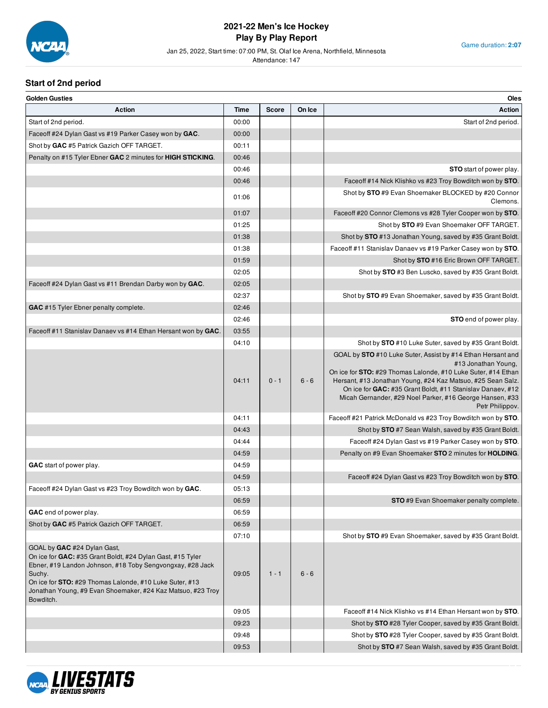

#### Jan 25, 2022, Start time: 07:00 PM, St. Olaf Ice Arena, Northfield, Minnesota

Attendance: 147

# **Start of 2nd period**

| <b>Golden Gusties</b>                                                                                                                                                                                                                                                                                   |       |              |         | Oles                                                                                                                                                                                                                                                                                                                                                            |
|---------------------------------------------------------------------------------------------------------------------------------------------------------------------------------------------------------------------------------------------------------------------------------------------------------|-------|--------------|---------|-----------------------------------------------------------------------------------------------------------------------------------------------------------------------------------------------------------------------------------------------------------------------------------------------------------------------------------------------------------------|
| <b>Action</b>                                                                                                                                                                                                                                                                                           | Time  | <b>Score</b> | On Ice  | <b>Action</b>                                                                                                                                                                                                                                                                                                                                                   |
| Start of 2nd period.                                                                                                                                                                                                                                                                                    | 00:00 |              |         | Start of 2nd period.                                                                                                                                                                                                                                                                                                                                            |
| Faceoff #24 Dylan Gast vs #19 Parker Casey won by GAC.                                                                                                                                                                                                                                                  | 00:00 |              |         |                                                                                                                                                                                                                                                                                                                                                                 |
| Shot by GAC #5 Patrick Gazich OFF TARGET.                                                                                                                                                                                                                                                               | 00:11 |              |         |                                                                                                                                                                                                                                                                                                                                                                 |
| Penalty on #15 Tyler Ebner GAC 2 minutes for HIGH STICKING.                                                                                                                                                                                                                                             | 00:46 |              |         |                                                                                                                                                                                                                                                                                                                                                                 |
|                                                                                                                                                                                                                                                                                                         | 00:46 |              |         | <b>STO</b> start of power play.                                                                                                                                                                                                                                                                                                                                 |
|                                                                                                                                                                                                                                                                                                         | 00:46 |              |         | Faceoff #14 Nick Klishko vs #23 Troy Bowditch won by STO                                                                                                                                                                                                                                                                                                        |
|                                                                                                                                                                                                                                                                                                         | 01:06 |              |         | Shot by STO #9 Evan Shoemaker BLOCKED by #20 Connor<br>Clemons.                                                                                                                                                                                                                                                                                                 |
|                                                                                                                                                                                                                                                                                                         | 01:07 |              |         | Faceoff #20 Connor Clemons vs #28 Tyler Cooper won by STO                                                                                                                                                                                                                                                                                                       |
|                                                                                                                                                                                                                                                                                                         | 01:25 |              |         | Shot by STO #9 Evan Shoemaker OFF TARGET.                                                                                                                                                                                                                                                                                                                       |
|                                                                                                                                                                                                                                                                                                         | 01:38 |              |         | Shot by STO #13 Jonathan Young, saved by #35 Grant Boldt.                                                                                                                                                                                                                                                                                                       |
|                                                                                                                                                                                                                                                                                                         | 01:38 |              |         | Faceoff #11 Stanislav Danaev vs #19 Parker Casey won by STO                                                                                                                                                                                                                                                                                                     |
|                                                                                                                                                                                                                                                                                                         | 01:59 |              |         | Shot by STO #16 Eric Brown OFF TARGET.                                                                                                                                                                                                                                                                                                                          |
|                                                                                                                                                                                                                                                                                                         |       |              |         | Shot by STO #3 Ben Luscko, saved by #35 Grant Boldt.                                                                                                                                                                                                                                                                                                            |
|                                                                                                                                                                                                                                                                                                         | 02:05 |              |         |                                                                                                                                                                                                                                                                                                                                                                 |
| Faceoff #24 Dylan Gast vs #11 Brendan Darby won by GAC.                                                                                                                                                                                                                                                 | 02:05 |              |         |                                                                                                                                                                                                                                                                                                                                                                 |
|                                                                                                                                                                                                                                                                                                         | 02:37 |              |         | Shot by STO #9 Evan Shoemaker, saved by #35 Grant Boldt.                                                                                                                                                                                                                                                                                                        |
| GAC #15 Tyler Ebner penalty complete.                                                                                                                                                                                                                                                                   | 02:46 |              |         |                                                                                                                                                                                                                                                                                                                                                                 |
|                                                                                                                                                                                                                                                                                                         | 02:46 |              |         | <b>STO</b> end of power play                                                                                                                                                                                                                                                                                                                                    |
| Faceoff #11 Stanislav Danaev vs #14 Ethan Hersant won by GAC                                                                                                                                                                                                                                            | 03:55 |              |         |                                                                                                                                                                                                                                                                                                                                                                 |
|                                                                                                                                                                                                                                                                                                         | 04:10 |              |         | Shot by STO #10 Luke Suter, saved by #35 Grant Boldt.                                                                                                                                                                                                                                                                                                           |
|                                                                                                                                                                                                                                                                                                         | 04:11 | $0 - 1$      | $6 - 6$ | GOAL by STO #10 Luke Suter, Assist by #14 Ethan Hersant and<br>#13 Jonathan Young.<br>On ice for STO: #29 Thomas Lalonde, #10 Luke Suter, #14 Ethan<br>Hersant, #13 Jonathan Young, #24 Kaz Matsuo, #25 Sean Salz.<br>On ice for GAC: #35 Grant Boldt, #11 Stanislav Danaev, #12<br>Micah Gernander, #29 Noel Parker, #16 George Hansen, #33<br>Petr Philippov. |
|                                                                                                                                                                                                                                                                                                         | 04:11 |              |         | Faceoff #21 Patrick McDonald vs #23 Troy Bowditch won by STO                                                                                                                                                                                                                                                                                                    |
|                                                                                                                                                                                                                                                                                                         | 04:43 |              |         | Shot by STO #7 Sean Walsh, saved by #35 Grant Boldt.                                                                                                                                                                                                                                                                                                            |
|                                                                                                                                                                                                                                                                                                         | 04:44 |              |         | Faceoff #24 Dylan Gast vs #19 Parker Casey won by STO                                                                                                                                                                                                                                                                                                           |
|                                                                                                                                                                                                                                                                                                         | 04:59 |              |         | Penalty on #9 Evan Shoemaker STO 2 minutes for HOLDING                                                                                                                                                                                                                                                                                                          |
| GAC start of power play.                                                                                                                                                                                                                                                                                | 04:59 |              |         |                                                                                                                                                                                                                                                                                                                                                                 |
|                                                                                                                                                                                                                                                                                                         | 04:59 |              |         | Faceoff #24 Dylan Gast vs #23 Troy Bowditch won by STO                                                                                                                                                                                                                                                                                                          |
| Faceoff #24 Dylan Gast vs #23 Troy Bowditch won by GAC.                                                                                                                                                                                                                                                 | 05:13 |              |         |                                                                                                                                                                                                                                                                                                                                                                 |
|                                                                                                                                                                                                                                                                                                         | 06:59 |              |         | <b>STO</b> #9 Evan Shoemaker penalty complete.                                                                                                                                                                                                                                                                                                                  |
| GAC end of power play.                                                                                                                                                                                                                                                                                  | 06:59 |              |         |                                                                                                                                                                                                                                                                                                                                                                 |
| Shot by GAC #5 Patrick Gazich OFF TARGET.                                                                                                                                                                                                                                                               | 06:59 |              |         |                                                                                                                                                                                                                                                                                                                                                                 |
|                                                                                                                                                                                                                                                                                                         | 07:10 |              |         | Shot by STO #9 Evan Shoemaker, saved by #35 Grant Boldt.                                                                                                                                                                                                                                                                                                        |
| GOAL by GAC #24 Dylan Gast,<br>On ice for GAC: #35 Grant Boldt, #24 Dylan Gast, #15 Tyler<br>Ebner, #19 Landon Johnson, #18 Toby Sengvongxay, #28 Jack<br>Suchy.<br>On ice for STO: #29 Thomas Lalonde, #10 Luke Suter, #13<br>Jonathan Young, #9 Evan Shoemaker, #24 Kaz Matsuo, #23 Troy<br>Bowditch. | 09:05 | $1 - 1$      | $6 - 6$ |                                                                                                                                                                                                                                                                                                                                                                 |
|                                                                                                                                                                                                                                                                                                         | 09:05 |              |         | Faceoff #14 Nick Klishko vs #14 Ethan Hersant won by STO.                                                                                                                                                                                                                                                                                                       |
|                                                                                                                                                                                                                                                                                                         | 09:23 |              |         | Shot by STO #28 Tyler Cooper, saved by #35 Grant Boldt.                                                                                                                                                                                                                                                                                                         |
|                                                                                                                                                                                                                                                                                                         | 09:48 |              |         | Shot by STO #28 Tyler Cooper, saved by #35 Grant Boldt.                                                                                                                                                                                                                                                                                                         |
|                                                                                                                                                                                                                                                                                                         | 09:53 |              |         | Shot by STO #7 Sean Walsh, saved by #35 Grant Boldt.                                                                                                                                                                                                                                                                                                            |

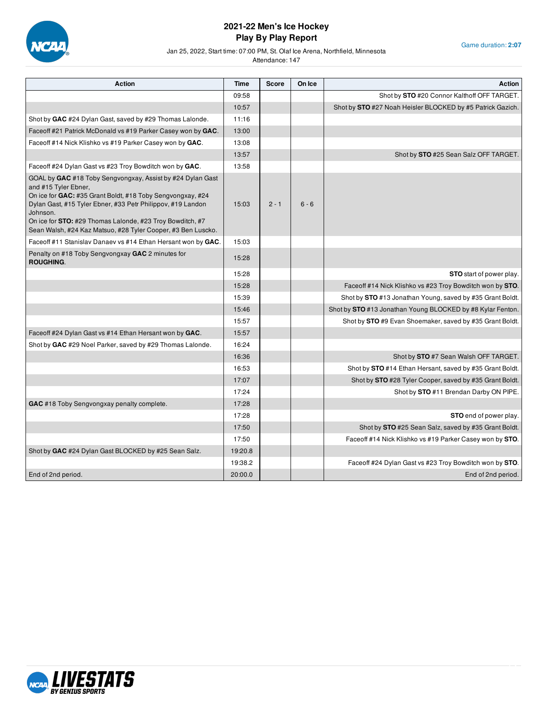

Game duration: **2:07**

#### Jan 25, 2022, Start time: 07:00 PM, St. Olaf Ice Arena, Northfield, Minnesota

| <b>Action</b>                                                                                                                                                                                                                                                                                                                                                   | Time    | <b>Score</b> | On Ice  | Action                                                     |
|-----------------------------------------------------------------------------------------------------------------------------------------------------------------------------------------------------------------------------------------------------------------------------------------------------------------------------------------------------------------|---------|--------------|---------|------------------------------------------------------------|
|                                                                                                                                                                                                                                                                                                                                                                 | 09:58   |              |         | Shot by STO #20 Connor Kalthoff OFF TARGET.                |
|                                                                                                                                                                                                                                                                                                                                                                 | 10:57   |              |         | Shot by STO #27 Noah Heisler BLOCKED by #5 Patrick Gazich. |
| Shot by GAC #24 Dylan Gast, saved by #29 Thomas Lalonde.                                                                                                                                                                                                                                                                                                        | 11:16   |              |         |                                                            |
| Faceoff #21 Patrick McDonald vs #19 Parker Casey won by GAC.                                                                                                                                                                                                                                                                                                    | 13:00   |              |         |                                                            |
| Faceoff #14 Nick Klishko vs #19 Parker Casey won by GAC.                                                                                                                                                                                                                                                                                                        | 13:08   |              |         |                                                            |
|                                                                                                                                                                                                                                                                                                                                                                 | 13:57   |              |         | Shot by STO #25 Sean Salz OFF TARGET.                      |
| Faceoff #24 Dylan Gast vs #23 Troy Bowditch won by GAC.                                                                                                                                                                                                                                                                                                         | 13:58   |              |         |                                                            |
| GOAL by GAC #18 Toby Sengvongxay, Assist by #24 Dylan Gast<br>and #15 Tyler Ebner,<br>On ice for GAC: #35 Grant Boldt, #18 Toby Sengvongxay, #24<br>Dylan Gast, #15 Tyler Ebner, #33 Petr Philippov, #19 Landon<br>Johnson.<br>On ice for <b>STO:</b> #29 Thomas Lalonde, #23 Troy Bowditch, #7<br>Sean Walsh, #24 Kaz Matsuo, #28 Tyler Cooper, #3 Ben Luscko. | 15:03   | $2 - 1$      | $6 - 6$ |                                                            |
| Faceoff #11 Stanislav Danaev vs #14 Ethan Hersant won by GAC.                                                                                                                                                                                                                                                                                                   | 15:03   |              |         |                                                            |
| Penalty on #18 Toby Sengvongxay GAC 2 minutes for<br><b>ROUGHING.</b>                                                                                                                                                                                                                                                                                           | 15:28   |              |         |                                                            |
|                                                                                                                                                                                                                                                                                                                                                                 | 15:28   |              |         | <b>STO</b> start of power play.                            |
|                                                                                                                                                                                                                                                                                                                                                                 | 15:28   |              |         | Faceoff #14 Nick Klishko vs #23 Troy Bowditch won by STO.  |
|                                                                                                                                                                                                                                                                                                                                                                 | 15:39   |              |         | Shot by STO #13 Jonathan Young, saved by #35 Grant Boldt.  |
|                                                                                                                                                                                                                                                                                                                                                                 | 15:46   |              |         | Shot by STO #13 Jonathan Young BLOCKED by #8 Kylar Fenton. |
|                                                                                                                                                                                                                                                                                                                                                                 | 15:57   |              |         | Shot by STO #9 Evan Shoemaker, saved by #35 Grant Boldt.   |
| Faceoff #24 Dylan Gast vs #14 Ethan Hersant won by GAC.                                                                                                                                                                                                                                                                                                         | 15:57   |              |         |                                                            |
| Shot by GAC #29 Noel Parker, saved by #29 Thomas Lalonde.                                                                                                                                                                                                                                                                                                       | 16:24   |              |         |                                                            |
|                                                                                                                                                                                                                                                                                                                                                                 | 16:36   |              |         | Shot by <b>STO</b> #7 Sean Walsh OFF TARGET.               |
|                                                                                                                                                                                                                                                                                                                                                                 | 16:53   |              |         | Shot by STO #14 Ethan Hersant, saved by #35 Grant Boldt.   |
|                                                                                                                                                                                                                                                                                                                                                                 | 17:07   |              |         | Shot by STO #28 Tyler Cooper, saved by #35 Grant Boldt.    |
|                                                                                                                                                                                                                                                                                                                                                                 | 17:24   |              |         | Shot by STO #11 Brendan Darby ON PIPE.                     |
| <b>GAC</b> #18 Toby Sengvongxay penalty complete.                                                                                                                                                                                                                                                                                                               | 17:28   |              |         |                                                            |
|                                                                                                                                                                                                                                                                                                                                                                 | 17:28   |              |         | <b>STO</b> end of power play.                              |
|                                                                                                                                                                                                                                                                                                                                                                 | 17:50   |              |         | Shot by STO #25 Sean Salz, saved by #35 Grant Boldt.       |
|                                                                                                                                                                                                                                                                                                                                                                 | 17:50   |              |         | Faceoff #14 Nick Klishko vs #19 Parker Casey won by STO.   |
| Shot by GAC #24 Dylan Gast BLOCKED by #25 Sean Salz.                                                                                                                                                                                                                                                                                                            | 19:20.8 |              |         |                                                            |
|                                                                                                                                                                                                                                                                                                                                                                 | 19:38.2 |              |         | Faceoff #24 Dylan Gast vs #23 Troy Bowditch won by STO.    |
| End of 2nd period.                                                                                                                                                                                                                                                                                                                                              | 20:00.0 |              |         | End of 2nd period.                                         |

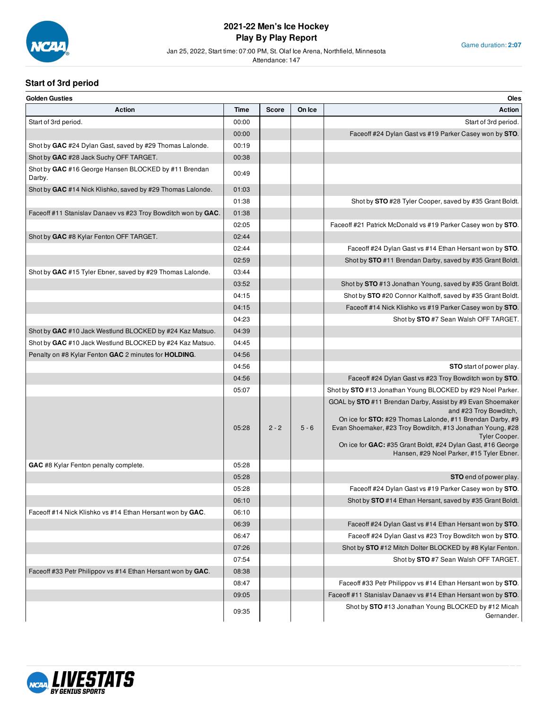

Jan 25, 2022, Start time: 07:00 PM, St. Olaf Ice Arena, Northfield, Minnesota

Attendance: 147

Game duration: **2:07**

# **Start of 3rd period**

| <b>Golden Gusties</b>                                          |       |              |         | Oles                                                                                                                                                                                                                                                                                                                                                       |
|----------------------------------------------------------------|-------|--------------|---------|------------------------------------------------------------------------------------------------------------------------------------------------------------------------------------------------------------------------------------------------------------------------------------------------------------------------------------------------------------|
| <b>Action</b>                                                  | Time  | <b>Score</b> | On Ice  | <b>Action</b>                                                                                                                                                                                                                                                                                                                                              |
| Start of 3rd period.                                           | 00:00 |              |         | Start of 3rd period.                                                                                                                                                                                                                                                                                                                                       |
|                                                                | 00:00 |              |         | Faceoff #24 Dylan Gast vs #19 Parker Casey won by STO.                                                                                                                                                                                                                                                                                                     |
| Shot by GAC #24 Dylan Gast, saved by #29 Thomas Lalonde.       | 00:19 |              |         |                                                                                                                                                                                                                                                                                                                                                            |
| Shot by GAC #28 Jack Suchy OFF TARGET.                         | 00:38 |              |         |                                                                                                                                                                                                                                                                                                                                                            |
| Shot by GAC #16 George Hansen BLOCKED by #11 Brendan<br>Darby. | 00:49 |              |         |                                                                                                                                                                                                                                                                                                                                                            |
| Shot by GAC #14 Nick Klishko, saved by #29 Thomas Lalonde.     | 01:03 |              |         |                                                                                                                                                                                                                                                                                                                                                            |
|                                                                | 01:38 |              |         | Shot by STO #28 Tyler Cooper, saved by #35 Grant Boldt.                                                                                                                                                                                                                                                                                                    |
| Faceoff #11 Stanislav Danaev vs #23 Troy Bowditch won by GAC.  | 01:38 |              |         |                                                                                                                                                                                                                                                                                                                                                            |
|                                                                | 02:05 |              |         | Face off #21 Patrick McDonald vs #19 Parker Casey won by STO                                                                                                                                                                                                                                                                                               |
| Shot by GAC #8 Kylar Fenton OFF TARGET.                        | 02:44 |              |         |                                                                                                                                                                                                                                                                                                                                                            |
|                                                                | 02:44 |              |         | Faceoff #24 Dylan Gast vs #14 Ethan Hersant won by STO                                                                                                                                                                                                                                                                                                     |
|                                                                | 02:59 |              |         | Shot by STO #11 Brendan Darby, saved by #35 Grant Boldt.                                                                                                                                                                                                                                                                                                   |
| Shot by GAC #15 Tyler Ebner, saved by #29 Thomas Lalonde.      | 03:44 |              |         |                                                                                                                                                                                                                                                                                                                                                            |
|                                                                | 03:52 |              |         | Shot by STO #13 Jonathan Young, saved by #35 Grant Boldt.                                                                                                                                                                                                                                                                                                  |
|                                                                | 04:15 |              |         | Shot by STO #20 Connor Kalthoff, saved by #35 Grant Boldt.                                                                                                                                                                                                                                                                                                 |
|                                                                | 04:15 |              |         | Faceoff #14 Nick Klishko vs #19 Parker Casey won by STO.                                                                                                                                                                                                                                                                                                   |
|                                                                | 04:23 |              |         | Shot by STO #7 Sean Walsh OFF TARGET.                                                                                                                                                                                                                                                                                                                      |
| Shot by GAC #10 Jack Westlund BLOCKED by #24 Kaz Matsuo.       | 04:39 |              |         |                                                                                                                                                                                                                                                                                                                                                            |
| Shot by GAC #10 Jack Westlund BLOCKED by #24 Kaz Matsuo.       | 04:45 |              |         |                                                                                                                                                                                                                                                                                                                                                            |
| Penalty on #8 Kylar Fenton GAC 2 minutes for HOLDING.          | 04:56 |              |         |                                                                                                                                                                                                                                                                                                                                                            |
|                                                                | 04:56 |              |         | <b>STO</b> start of power play.                                                                                                                                                                                                                                                                                                                            |
|                                                                | 04:56 |              |         | Faceoff #24 Dylan Gast vs #23 Troy Bowditch won by STO                                                                                                                                                                                                                                                                                                     |
|                                                                | 05:07 |              |         | Shot by STO #13 Jonathan Young BLOCKED by #29 Noel Parker.                                                                                                                                                                                                                                                                                                 |
|                                                                | 05:28 | $2 - 2$      | $5 - 6$ | GOAL by STO #11 Brendan Darby, Assist by #9 Evan Shoemaker<br>and #23 Troy Bowditch,<br>On ice for <b>STO:</b> #29 Thomas Lalonde, #11 Brendan Darby, #9<br>Evan Shoemaker, #23 Troy Bowditch, #13 Jonathan Young, #28<br><b>Tyler Cooper.</b><br>On ice for GAC: #35 Grant Boldt, #24 Dylan Gast, #16 George<br>Hansen, #29 Noel Parker, #15 Tyler Ebner. |
| GAC #8 Kylar Fenton penalty complete.                          | 05:28 |              |         |                                                                                                                                                                                                                                                                                                                                                            |
|                                                                | 05:28 |              |         | <b>STO</b> end of power play.                                                                                                                                                                                                                                                                                                                              |
|                                                                | 05:28 |              |         | Faceoff #24 Dylan Gast vs #19 Parker Casey won by STO                                                                                                                                                                                                                                                                                                      |
|                                                                | 06:10 |              |         | Shot by STO #14 Ethan Hersant, saved by #35 Grant Boldt.                                                                                                                                                                                                                                                                                                   |
| Faceoff #14 Nick Klishko vs #14 Ethan Hersant won by GAC.      | 06:10 |              |         |                                                                                                                                                                                                                                                                                                                                                            |
|                                                                | 06:39 |              |         | Faceoff #24 Dylan Gast vs #14 Ethan Hersant won by STO                                                                                                                                                                                                                                                                                                     |
|                                                                | 06:47 |              |         | Faceoff #24 Dylan Gast vs #23 Troy Bowditch won by STO                                                                                                                                                                                                                                                                                                     |
|                                                                | 07:26 |              |         | Shot by STO #12 Mitch Dolter BLOCKED by #8 Kylar Fenton.                                                                                                                                                                                                                                                                                                   |
|                                                                | 07:54 |              |         | Shot by STO #7 Sean Walsh OFF TARGET.                                                                                                                                                                                                                                                                                                                      |
| Faceoff #33 Petr Philippov vs #14 Ethan Hersant won by GAC.    | 08:38 |              |         |                                                                                                                                                                                                                                                                                                                                                            |
|                                                                | 08:47 |              |         | Faceoff #33 Petr Philippov vs #14 Ethan Hersant won by STO                                                                                                                                                                                                                                                                                                 |
|                                                                | 09:05 |              |         | Faceoff #11 Stanislav Danaev vs #14 Ethan Hersant won by STO.                                                                                                                                                                                                                                                                                              |
|                                                                | 09:35 |              |         | Shot by STO #13 Jonathan Young BLOCKED by #12 Micah<br>Gernander.                                                                                                                                                                                                                                                                                          |

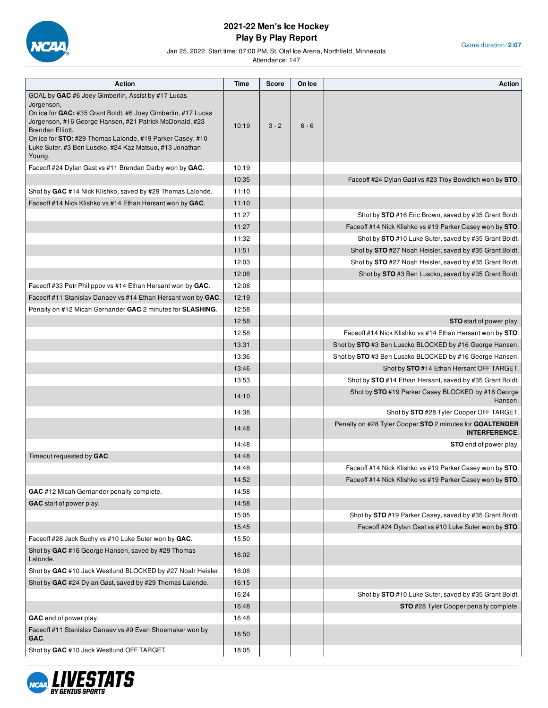

Jan 25, 2022, Start time: 07:00 PM, St. Olaf Ice Arena, Northfield, Minnesota

Attendance: 147

Game duration: **2:07**

| <b>Action</b>                                                                                                                                                                                                                                                                             | <b>Time</b>    | Score   | On Ice  | <b>Action</b>                                                                    |
|-------------------------------------------------------------------------------------------------------------------------------------------------------------------------------------------------------------------------------------------------------------------------------------------|----------------|---------|---------|----------------------------------------------------------------------------------|
| GOAL by GAC #6 Joey Gimberlin, Assist by #17 Lucas                                                                                                                                                                                                                                        |                |         |         |                                                                                  |
| Jorgenson,<br>On ice for GAC: #35 Grant Boldt, #6 Joey Gimberlin, #17 Lucas<br>Jorgenson, #16 George Hansen, #21 Patrick McDonald, #23<br>Brendan Elliott.<br>On ice for <b>STO:</b> #29 Thomas Lalonde, #19 Parker Casey, #10<br>Luke Suter, #3 Ben Luscko, #24 Kaz Matsuo, #13 Jonathan | 10:19          | $3 - 2$ | $6 - 6$ |                                                                                  |
| Young.                                                                                                                                                                                                                                                                                    |                |         |         |                                                                                  |
| Faceoff #24 Dylan Gast vs #11 Brendan Darby won by GAC.                                                                                                                                                                                                                                   | 10:19          |         |         |                                                                                  |
|                                                                                                                                                                                                                                                                                           | 10:35<br>11:10 |         |         | Faceoff #24 Dylan Gast vs #23 Troy Bowditch won by STO.                          |
| Shot by GAC #14 Nick Klishko, saved by #29 Thomas Lalonde.<br>Faceoff #14 Nick Klishko vs #14 Ethan Hersant won by GAC.                                                                                                                                                                   | 11:10          |         |         |                                                                                  |
|                                                                                                                                                                                                                                                                                           | 11:27          |         |         | Shot by STO #16 Eric Brown, saved by #35 Grant Boldt.                            |
|                                                                                                                                                                                                                                                                                           | 11:27          |         |         | Faceoff #14 Nick Klishko vs #19 Parker Casey won by STO.                         |
|                                                                                                                                                                                                                                                                                           | 11:32          |         |         | Shot by STO #10 Luke Suter, saved by #35 Grant Boldt.                            |
|                                                                                                                                                                                                                                                                                           | 11:51          |         |         | Shot by STO #27 Noah Heisler, saved by #35 Grant Boldt.                          |
|                                                                                                                                                                                                                                                                                           | 12:03          |         |         | Shot by STO #27 Noah Heisler, saved by #35 Grant Boldt.                          |
|                                                                                                                                                                                                                                                                                           | 12:08          |         |         | Shot by STO #3 Ben Luscko, saved by #35 Grant Boldt.                             |
| Faceoff #33 Petr Philippov vs #14 Ethan Hersant won by GAC.                                                                                                                                                                                                                               | 12:08          |         |         |                                                                                  |
| Faceoff #11 Stanislav Danaev vs #14 Ethan Hersant won by GAC.                                                                                                                                                                                                                             | 12:19          |         |         |                                                                                  |
| Penalty on #12 Micah Gernander GAC 2 minutes for SLASHING.                                                                                                                                                                                                                                | 12:58          |         |         |                                                                                  |
|                                                                                                                                                                                                                                                                                           | 12:58          |         |         | <b>STO</b> start of power play.                                                  |
|                                                                                                                                                                                                                                                                                           | 12:58          |         |         | Faceoff #14 Nick Klishko vs #14 Ethan Hersant won by STO.                        |
|                                                                                                                                                                                                                                                                                           | 13:31          |         |         | Shot by STO #3 Ben Luscko BLOCKED by #16 George Hansen.                          |
|                                                                                                                                                                                                                                                                                           | 13:36          |         |         | Shot by STO #3 Ben Luscko BLOCKED by #16 George Hansen.                          |
|                                                                                                                                                                                                                                                                                           | 13:46          |         |         | Shot by STO #14 Ethan Hersant OFF TARGET.                                        |
|                                                                                                                                                                                                                                                                                           | 13:53          |         |         | Shot by STO #14 Ethan Hersant, saved by #35 Grant Boldt.                         |
|                                                                                                                                                                                                                                                                                           | 14:10          |         |         | Shot by STO #19 Parker Casey BLOCKED by #16 George<br>Hansen.                    |
|                                                                                                                                                                                                                                                                                           | 14:38          |         |         | Shot by STO #28 Tyler Cooper OFF TARGET.                                         |
|                                                                                                                                                                                                                                                                                           | 14:48          |         |         | Penalty on #28 Tyler Cooper STO 2 minutes for GOALTENDER<br><b>INTERFERENCE.</b> |
|                                                                                                                                                                                                                                                                                           | 14:48          |         |         | STO end of power play.                                                           |
| Timeout requested by GAC.                                                                                                                                                                                                                                                                 | 14:48          |         |         |                                                                                  |
|                                                                                                                                                                                                                                                                                           | 14:48          |         |         | Faceoff #14 Nick Klishko vs #19 Parker Casey won by STO.                         |
|                                                                                                                                                                                                                                                                                           | 14:52          |         |         | Faceoff #14 Nick Klishko vs #19 Parker Casey won by STO.                         |
| GAC #12 Micah Gernander penalty complete.                                                                                                                                                                                                                                                 | 14:58          |         |         |                                                                                  |
| GAC start of power play.                                                                                                                                                                                                                                                                  | 14:58          |         |         |                                                                                  |
|                                                                                                                                                                                                                                                                                           | 15:05          |         |         | Shot by STO #19 Parker Casey, saved by #35 Grant Boldt.                          |
|                                                                                                                                                                                                                                                                                           | 15:45          |         |         | Faceoff #24 Dylan Gast vs #10 Luke Suter won by STO.                             |
| Faceoff #28 Jack Suchy vs #10 Luke Suter won by GAC.                                                                                                                                                                                                                                      | 15:50          |         |         |                                                                                  |
| Shot by GAC #16 George Hansen, saved by #29 Thomas<br>Lalonde.                                                                                                                                                                                                                            | 16:02          |         |         |                                                                                  |
| Shot by GAC #10 Jack Westlund BLOCKED by #27 Noah Heisler.                                                                                                                                                                                                                                | 16:08          |         |         |                                                                                  |
| Shot by GAC #24 Dylan Gast, saved by #29 Thomas Lalonde.                                                                                                                                                                                                                                  | 16:15          |         |         |                                                                                  |
|                                                                                                                                                                                                                                                                                           | 16:24          |         |         | Shot by STO #10 Luke Suter, saved by #35 Grant Boldt.                            |
|                                                                                                                                                                                                                                                                                           | 16:48          |         |         | STO #28 Tyler Cooper penalty complete.                                           |
| GAC end of power play.                                                                                                                                                                                                                                                                    | 16:48          |         |         |                                                                                  |
| Faceoff #11 Stanislav Danaev vs #9 Evan Shoemaker won by<br>GAC.                                                                                                                                                                                                                          | 16:50          |         |         |                                                                                  |
| Shot by GAC #10 Jack Westlund OFF TARGET.                                                                                                                                                                                                                                                 | 18:05          |         |         |                                                                                  |

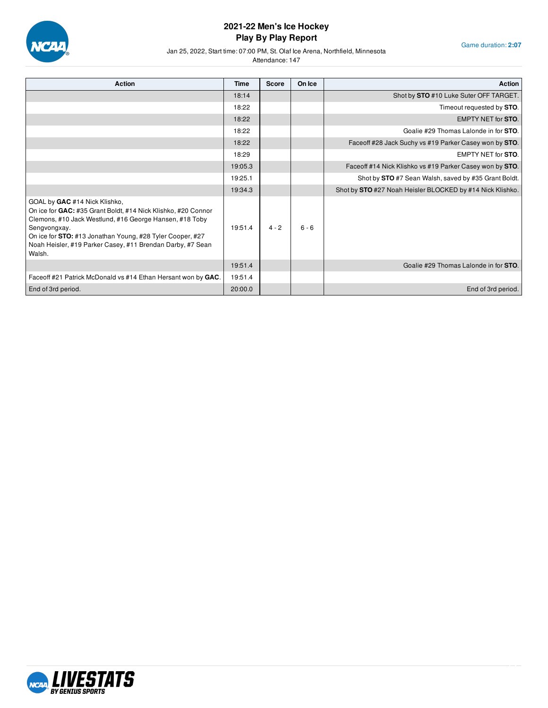

Game duration: **2:07**

#### Jan 25, 2022, Start time: 07:00 PM, St. Olaf Ice Arena, Northfield, Minnesota

| <b>Action</b>                                                                                                                                                                                                                                                                                                         | <b>Time</b> | <b>Score</b> | On Ice  | <b>Action</b>                                             |
|-----------------------------------------------------------------------------------------------------------------------------------------------------------------------------------------------------------------------------------------------------------------------------------------------------------------------|-------------|--------------|---------|-----------------------------------------------------------|
|                                                                                                                                                                                                                                                                                                                       | 18:14       |              |         | Shot by STO #10 Luke Suter OFF TARGET.                    |
|                                                                                                                                                                                                                                                                                                                       | 18:22       |              |         | Timeout requested by STO.                                 |
|                                                                                                                                                                                                                                                                                                                       | 18:22       |              |         | <b>EMPTY NET for STO.</b>                                 |
|                                                                                                                                                                                                                                                                                                                       | 18:22       |              |         | Goalie #29 Thomas Lalonde in for STO.                     |
|                                                                                                                                                                                                                                                                                                                       | 18:22       |              |         | Faceoff #28 Jack Suchy vs #19 Parker Casey won by STO.    |
|                                                                                                                                                                                                                                                                                                                       | 18:29       |              |         | <b>EMPTY NET for STO.</b>                                 |
|                                                                                                                                                                                                                                                                                                                       | 19:05.3     |              |         | Faceoff #14 Nick Klishko vs #19 Parker Casey won by STO.  |
|                                                                                                                                                                                                                                                                                                                       | 19:25.1     |              |         | Shot by STO #7 Sean Walsh, saved by #35 Grant Boldt.      |
|                                                                                                                                                                                                                                                                                                                       | 19:34.3     |              |         | Shot by STO #27 Noah Heisler BLOCKED by #14 Nick Klishko. |
| GOAL by GAC #14 Nick Klishko,<br>On ice for GAC: #35 Grant Boldt, #14 Nick Klishko, #20 Connor<br>Clemons, #10 Jack Westlund, #16 George Hansen, #18 Toby<br>Sengvongxay.<br>On ice for <b>STO:</b> #13 Jonathan Young, #28 Tyler Cooper, #27<br>Noah Heisler, #19 Parker Casey, #11 Brendan Darby, #7 Sean<br>Walsh. | 19:51.4     | $4 - 2$      | $6 - 6$ |                                                           |
|                                                                                                                                                                                                                                                                                                                       | 19:51.4     |              |         | Goalie #29 Thomas Lalonde in for STO.                     |
| Faceoff #21 Patrick McDonald vs #14 Ethan Hersant won by GAC.                                                                                                                                                                                                                                                         | 19:51.4     |              |         |                                                           |
| End of 3rd period.                                                                                                                                                                                                                                                                                                    | 20:00.0     |              |         | End of 3rd period.                                        |

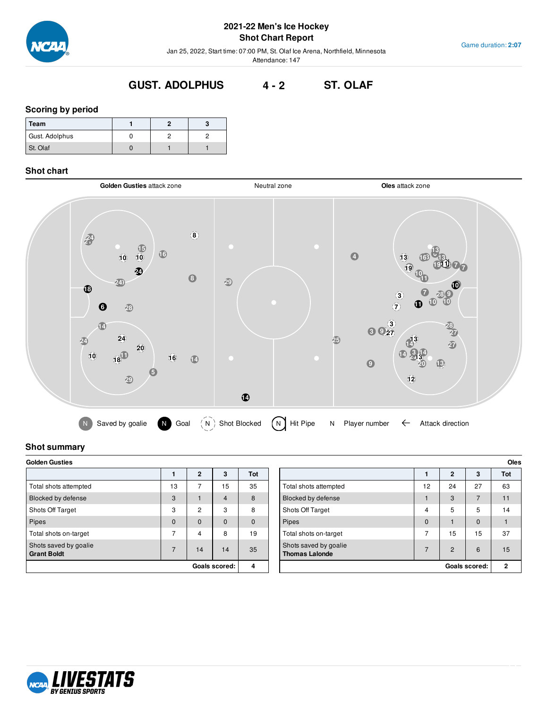

# **2021-22 Men's Ice Hockey Shot Chart Report**

Jan 25, 2022, Start time: 07:00 PM, St. Olaf Ice Arena, Northfield, Minnesota Attendance: 147

# **GUST. ADOLPHUS 4 - 2 ST. OLAF**

#### **Scoring by period**

| Team           |  |  |
|----------------|--|--|
| Gust. Adolphus |  |  |
| St. Olaf       |  |  |

#### **Shot chart**



# **Shot summary**

| <b>Golden Gusties</b>                       |          |                |                |          |  |  |  |
|---------------------------------------------|----------|----------------|----------------|----------|--|--|--|
|                                             |          | $\mathbf{2}$   | 3              | Tot      |  |  |  |
| Total shots attempted                       | 13       | 7              | 15             | 35       |  |  |  |
| Blocked by defense                          | 3        |                | $\overline{4}$ | 8        |  |  |  |
| Shots Off Target                            | 3        | $\overline{2}$ | 3              | 8        |  |  |  |
| <b>Pipes</b>                                | $\Omega$ | $\Omega$       | $\mathbf 0$    | $\Omega$ |  |  |  |
| Total shots on-target                       | 7        | 4              | 8              | 19       |  |  |  |
| Shots saved by goalie<br><b>Grant Boldt</b> | 7        | 14             | 14             | 35       |  |  |  |
| Goals scored:                               |          |                |                | 4        |  |  |  |

| <b>Golden Gusties</b>                       |    |                |          |              |  |                                                |              |                | <b>Oles</b>   |              |
|---------------------------------------------|----|----------------|----------|--------------|--|------------------------------------------------|--------------|----------------|---------------|--------------|
|                                             |    | $\mathbf{2}$   | 3        | Tot          |  |                                                |              | $\overline{2}$ | 3             | Tot          |
| Total shots attempted                       | 13 |                | 15       | 35           |  | Total shots attempted                          | 12           | 24             | 27            | 63           |
| Blocked by defense                          | 3  |                | 4        | 8            |  | Blocked by defense                             |              | 3              | 7             | 11           |
| Shots Off Target                            | 3  | $\overline{c}$ | 3        | 8            |  | <b>Shots Off Target</b>                        | 4            | 5              | 5             | 14           |
| Pipes                                       | 0  | 0              | $\Omega$ | $\mathbf{0}$ |  | Pipes                                          | $\mathbf{0}$ |                | 0             |              |
| Total shots on-target                       | ⇁  | 4              | 8        | 19           |  | Total shots on-target                          | ⇁            | 15             | 15            | 37           |
| Shots saved by goalie<br><b>Grant Boldt</b> |    | 14             | 14       | 35           |  | Shots saved by goalie<br><b>Thomas Lalonde</b> | ⇁            | $\overline{2}$ | 6             | 15           |
| Goals scored:                               |    |                |          | 4            |  |                                                |              |                | Goals scored: | $\mathbf{2}$ |

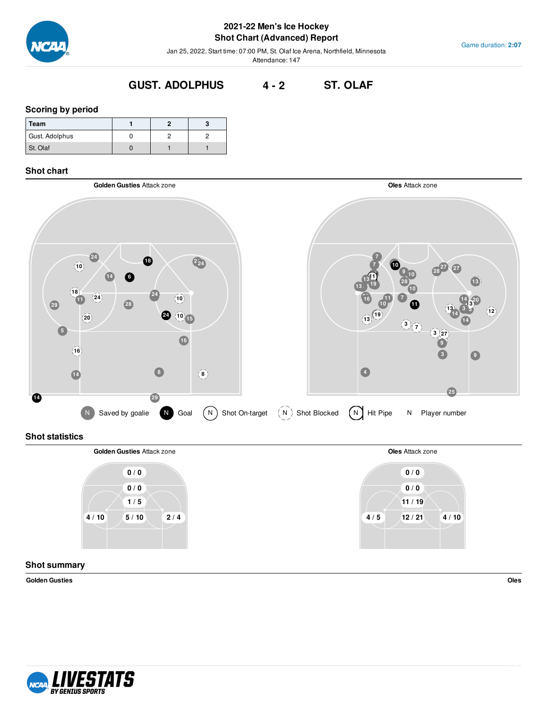

# **2021-22 Men's Ice Hockey Shot Chart (Advanced) Report**

Jan 25, 2022, Start time: 07:00 PM, St. Olaf Ice Arena, Northfield, Minnesota Attendance: 147

# **GUST. ADOLPHUS 4 - 2 ST. OLAF**

#### **Scoring by period**

| Team           |  |  |
|----------------|--|--|
| Gust. Adolphus |  |  |
| St. Olaf       |  |  |

## **Shot chart**



# **Shot statistics**



# **Shot summary**

**Golden Gusties Oles**

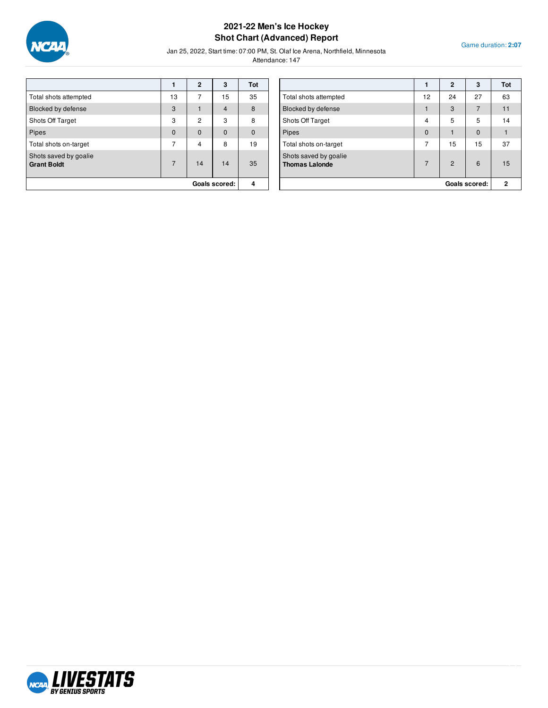

# **2021-22 Men's Ice Hockey Shot Chart (Advanced) Report**

Game duration: **2:07**

Jan 25, 2022, Start time: 07:00 PM, St. Olaf Ice Arena, Northfield, Minnesota

|                                             |                | $\mathbf{2}$   | 3              | Tot         |
|---------------------------------------------|----------------|----------------|----------------|-------------|
| Total shots attempted                       | 13             | 7              | 15             | 35          |
| Blocked by defense                          | 3              |                | $\overline{4}$ | 8           |
| Shots Off Target                            | 3              | $\overline{2}$ | 3              | 8           |
| Pipes                                       | $\mathbf{0}$   | $\mathbf 0$    | $\mathbf 0$    | $\mathbf 0$ |
| Total shots on-target                       | 7              | 4              | 8              | 19          |
| Shots saved by goalie<br><b>Grant Boldt</b> | $\overline{7}$ | 14             | 14             | 35          |
|                                             |                | Goals scored:  | 4              |             |

|                                                |                | $\mathbf{2}$   | 3        | Tot |
|------------------------------------------------|----------------|----------------|----------|-----|
| Total shots attempted                          | 12             | 24             | 27       | 63  |
| Blocked by defense                             |                | 3              | 7        | 11  |
| Shots Off Target                               | 4              | 5              | 5        | 14  |
| Pipes                                          | $\Omega$       |                | $\Omega$ |     |
| Total shots on-target                          | $\overline{7}$ | 15             | 15       | 37  |
| Shots saved by goalie<br><b>Thomas Lalonde</b> | $\overline{7}$ | $\overline{2}$ | 6        | 15  |
| Goals scored:                                  |                |                | 2        |     |